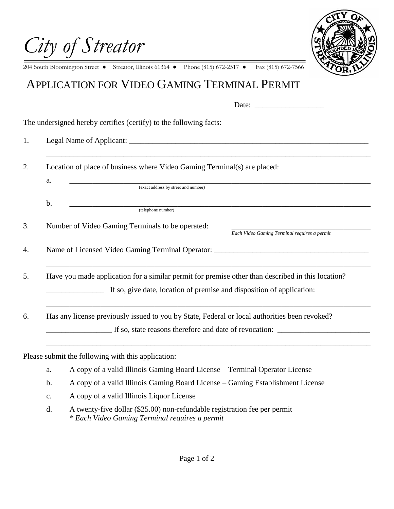| City of Streator |                                                                                                                                                                            |                                                                                                                             |  |
|------------------|----------------------------------------------------------------------------------------------------------------------------------------------------------------------------|-----------------------------------------------------------------------------------------------------------------------------|--|
|                  |                                                                                                                                                                            | 204 South Bloomington Street • Streator, Illinois 61364 • Phone (815) 672-2517 • Fax (815) 672-7566                         |  |
|                  |                                                                                                                                                                            | <b>APPLICATION FOR VIDEO GAMING TERMINAL PERMIT</b>                                                                         |  |
|                  |                                                                                                                                                                            |                                                                                                                             |  |
|                  |                                                                                                                                                                            | The undersigned hereby certifies (certify) to the following facts:                                                          |  |
| 1.               |                                                                                                                                                                            |                                                                                                                             |  |
| 2.               | a.                                                                                                                                                                         | Location of place of business where Video Gaming Terminal(s) are placed:                                                    |  |
|                  |                                                                                                                                                                            | (exact address by street and number)                                                                                        |  |
|                  | b.                                                                                                                                                                         | (telephone number)                                                                                                          |  |
| 3.               |                                                                                                                                                                            | Number of Video Gaming Terminals to be operated:<br>Each Video Gaming Terminal requires a permit                            |  |
| 4.               |                                                                                                                                                                            |                                                                                                                             |  |
| 5.               | Have you made application for a similar permit for premise other than described in this location?<br>If so, give date, location of premise and disposition of application: |                                                                                                                             |  |
| 6.               | Has any license previously issued to you by State, Federal or local authorities been revoked?                                                                              |                                                                                                                             |  |
|                  |                                                                                                                                                                            | Please submit the following with this application:                                                                          |  |
|                  | a.                                                                                                                                                                         | A copy of a valid Illinois Gaming Board License – Terminal Operator License                                                 |  |
|                  | $\mathbf b$ .                                                                                                                                                              | A copy of a valid Illinois Gaming Board License - Gaming Establishment License                                              |  |
|                  | $\mathbf{c}$ .                                                                                                                                                             | A copy of a valid Illinois Liquor License                                                                                   |  |
|                  | d.                                                                                                                                                                         | A twenty-five dollar (\$25.00) non-refundable registration fee per permit<br>* Each Video Gaming Terminal requires a permit |  |

 $C_{\text{norm}}$